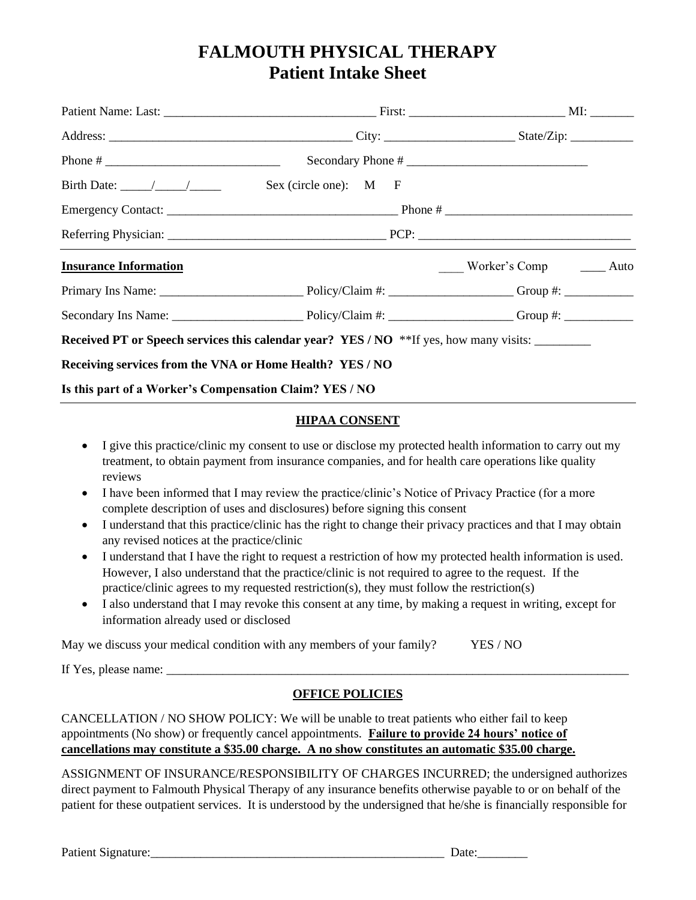# **FALMOUTH PHYSICAL THERAPY Patient Intake Sheet**

|                                                          | $Secondary Phone # \n\overline{\phantom{AB}}\phantom{AA}$                                   |                            |  |  |
|----------------------------------------------------------|---------------------------------------------------------------------------------------------|----------------------------|--|--|
|                                                          |                                                                                             |                            |  |  |
|                                                          |                                                                                             |                            |  |  |
|                                                          |                                                                                             |                            |  |  |
| <b>Insurance Information</b>                             |                                                                                             | Worker's Comp _______ Auto |  |  |
|                                                          |                                                                                             |                            |  |  |
|                                                          |                                                                                             |                            |  |  |
|                                                          | <b>Received PT or Speech services this calendar year? YES/NO</b> **If yes, how many visits: |                            |  |  |
| Receiving services from the VNA or Home Health? YES / NO |                                                                                             |                            |  |  |
| Is this part of a Worker's Compensation Claim? YES / NO  |                                                                                             |                            |  |  |

## **HIPAA CONSENT**

- I give this practice/clinic my consent to use or disclose my protected health information to carry out my treatment, to obtain payment from insurance companies, and for health care operations like quality reviews
- I have been informed that I may review the practice/clinic's Notice of Privacy Practice (for a more complete description of uses and disclosures) before signing this consent
- I understand that this practice/clinic has the right to change their privacy practices and that I may obtain any revised notices at the practice/clinic
- I understand that I have the right to request a restriction of how my protected health information is used. However, I also understand that the practice/clinic is not required to agree to the request. If the practice/clinic agrees to my requested restriction(s), they must follow the restriction(s)
- I also understand that I may revoke this consent at any time, by making a request in writing, except for information already used or disclosed

May we discuss your medical condition with any members of your family? YES / NO

If Yes, please name: \_\_\_\_\_\_\_\_\_\_\_\_\_\_\_\_\_\_\_\_\_\_\_\_\_\_\_\_\_\_\_\_\_\_\_\_\_\_\_\_\_\_\_\_\_\_\_\_\_\_\_\_\_\_\_\_\_\_\_\_\_\_\_\_\_\_\_\_\_\_\_\_\_\_

# **OFFICE POLICIES**

CANCELLATION / NO SHOW POLICY: We will be unable to treat patients who either fail to keep appointments (No show) or frequently cancel appointments. **Failure to provide 24 hours' notice of cancellations may constitute a \$35.00 charge. A no show constitutes an automatic \$35.00 charge.**

ASSIGNMENT OF INSURANCE/RESPONSIBILITY OF CHARGES INCURRED; the undersigned authorizes direct payment to Falmouth Physical Therapy of any insurance benefits otherwise payable to or on behalf of the patient for these outpatient services. It is understood by the undersigned that he/she is financially responsible for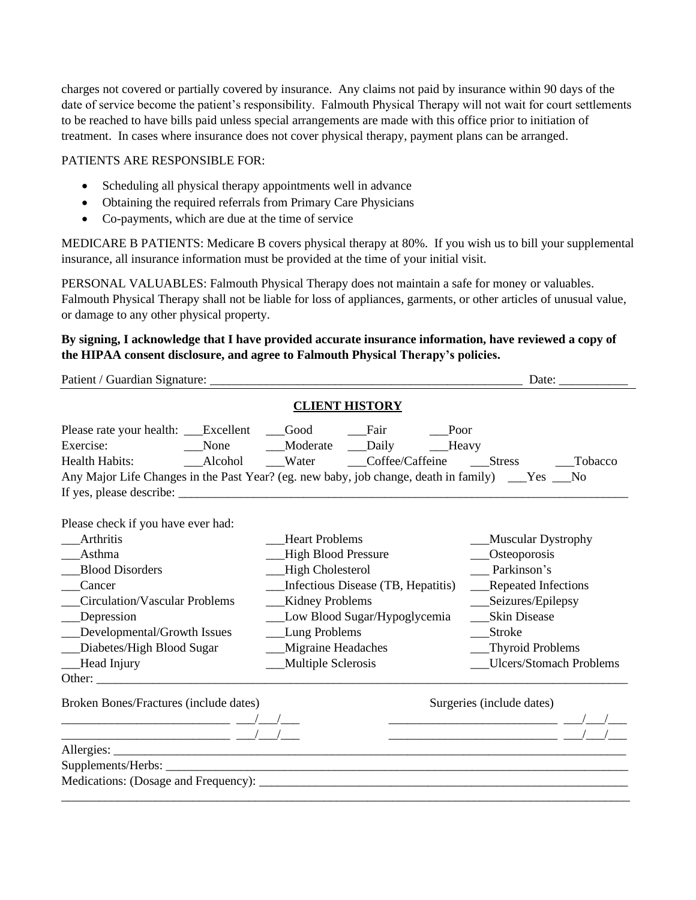charges not covered or partially covered by insurance. Any claims not paid by insurance within 90 days of the date of service become the patient's responsibility. Falmouth Physical Therapy will not wait for court settlements to be reached to have bills paid unless special arrangements are made with this office prior to initiation of treatment. In cases where insurance does not cover physical therapy, payment plans can be arranged.

#### PATIENTS ARE RESPONSIBLE FOR:

- Scheduling all physical therapy appointments well in advance
- Obtaining the required referrals from Primary Care Physicians
- Co-payments, which are due at the time of service

MEDICARE B PATIENTS: Medicare B covers physical therapy at 80%. If you wish us to bill your supplemental insurance, all insurance information must be provided at the time of your initial visit.

PERSONAL VALUABLES: Falmouth Physical Therapy does not maintain a safe for money or valuables. Falmouth Physical Therapy shall not be liable for loss of appliances, garments, or other articles of unusual value, or damage to any other physical property.

## **By signing, I acknowledge that I have provided accurate insurance information, have reviewed a copy of the HIPAA consent disclosure, and agree to Falmouth Physical Therapy's policies.**

|                                                                                                                                                                                                                                       |                                                                                                                                                                                                                                     | Date: $\_\_$                                                                                                                                                                                |  |  |
|---------------------------------------------------------------------------------------------------------------------------------------------------------------------------------------------------------------------------------------|-------------------------------------------------------------------------------------------------------------------------------------------------------------------------------------------------------------------------------------|---------------------------------------------------------------------------------------------------------------------------------------------------------------------------------------------|--|--|
| <b>CLIENT HISTORY</b>                                                                                                                                                                                                                 |                                                                                                                                                                                                                                     |                                                                                                                                                                                             |  |  |
| Please rate your health: __Excellent __Good ___Fair ___Poor<br>Exercise:<br>Any Major Life Changes in the Past Year? (eg. new baby, job change, death in family) ___Yes ___No                                                         | None Moderate Daily Heavy                                                                                                                                                                                                           |                                                                                                                                                                                             |  |  |
| Please check if you have ever had:<br>Arthritis<br>Asthma<br><b>Blood Disorders</b><br>Cancer<br><b>Circulation/Vascular Problems</b><br>__Depression<br>__Developmental/Growth Issues<br>_Diabetes/High Blood Sugar<br>__Head Injury | <b>Heart Problems</b><br>-High Blood Pressure<br>__High Cholesterol<br>Infectious Disease (TB, Hepatitis)<br>__Kidney Problems<br>__Low Blood Sugar/Hypoglycemia<br>__Lung Problems<br>__Migraine Headaches<br>__Multiple Sclerosis | ___Muscular Dystrophy<br>__Osteoporosis<br>Parkinson's<br>__Repeated Infections<br>___Seizures/Epilepsy<br><b>Skin Disease</b><br>Stroke<br>__Thyroid Problems<br>__Ulcers/Stomach Problems |  |  |
| Broken Bones/Fractures (include dates)                                                                                                                                                                                                |                                                                                                                                                                                                                                     | Surgeries (include dates)                                                                                                                                                                   |  |  |
|                                                                                                                                                                                                                                       |                                                                                                                                                                                                                                     |                                                                                                                                                                                             |  |  |